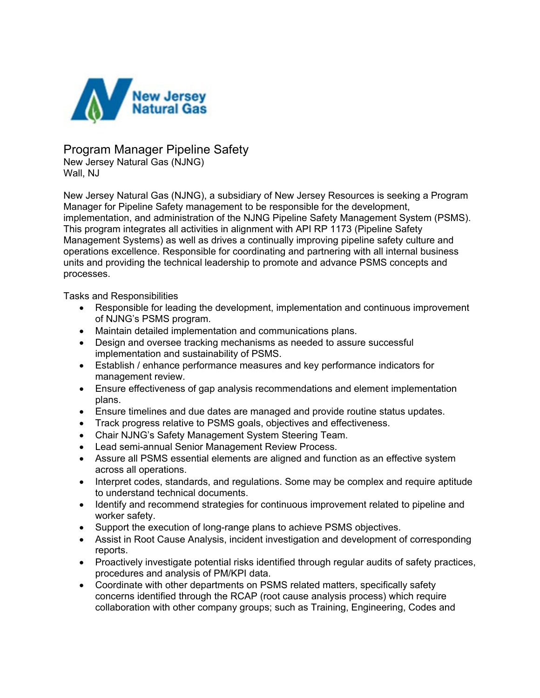

## Program Manager Pipeline Safety

New Jersey Natural Gas (NJNG) Wall, NJ

New Jersey Natural Gas (NJNG), a subsidiary of New Jersey Resources is seeking a Program Manager for Pipeline Safety management to be responsible for the development, implementation, and administration of the NJNG Pipeline Safety Management System (PSMS). This program integrates all activities in alignment with API RP 1173 (Pipeline Safety Management Systems) as well as drives a continually improving pipeline safety culture and operations excellence. Responsible for coordinating and partnering with all internal business units and providing the technical leadership to promote and advance PSMS concepts and processes.

Tasks and Responsibilities

- Responsible for leading the development, implementation and continuous improvement of NJNG's PSMS program.
- Maintain detailed implementation and communications plans.
- Design and oversee tracking mechanisms as needed to assure successful implementation and sustainability of PSMS.
- Establish / enhance performance measures and key performance indicators for management review.
- Ensure effectiveness of gap analysis recommendations and element implementation plans.
- Ensure timelines and due dates are managed and provide routine status updates.
- Track progress relative to PSMS goals, objectives and effectiveness.
- Chair NJNG's Safety Management System Steering Team.
- Lead semi-annual Senior Management Review Process.
- Assure all PSMS essential elements are aligned and function as an effective system across all operations.
- Interpret codes, standards, and regulations. Some may be complex and require aptitude to understand technical documents.
- Identify and recommend strategies for continuous improvement related to pipeline and worker safety.
- Support the execution of long-range plans to achieve PSMS objectives.
- Assist in Root Cause Analysis, incident investigation and development of corresponding reports.
- Proactively investigate potential risks identified through regular audits of safety practices, procedures and analysis of PM/KPI data.
- Coordinate with other departments on PSMS related matters, specifically safety concerns identified through the RCAP (root cause analysis process) which require collaboration with other company groups; such as Training, Engineering, Codes and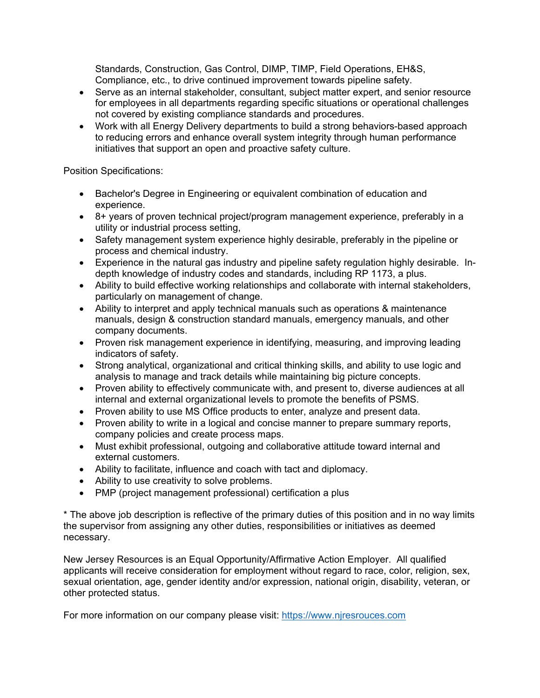Standards, Construction, Gas Control, DIMP, TIMP, Field Operations, EH&S, Compliance, etc., to drive continued improvement towards pipeline safety.

- Serve as an internal stakeholder, consultant, subject matter expert, and senior resource for employees in all departments regarding specific situations or operational challenges not covered by existing compliance standards and procedures.
- Work with all Energy Delivery departments to build a strong behaviors-based approach to reducing errors and enhance overall system integrity through human performance initiatives that support an open and proactive safety culture.

## Position Specifications:

- Bachelor's Degree in Engineering or equivalent combination of education and experience.
- 8+ years of proven technical project/program management experience, preferably in a utility or industrial process setting,
- Safety management system experience highly desirable, preferably in the pipeline or process and chemical industry.
- Experience in the natural gas industry and pipeline safety regulation highly desirable. Indepth knowledge of industry codes and standards, including RP 1173, a plus.
- Ability to build effective working relationships and collaborate with internal stakeholders, particularly on management of change.
- Ability to interpret and apply technical manuals such as operations & maintenance manuals, design & construction standard manuals, emergency manuals, and other company documents.
- Proven risk management experience in identifying, measuring, and improving leading indicators of safety.
- Strong analytical, organizational and critical thinking skills, and ability to use logic and analysis to manage and track details while maintaining big picture concepts.
- Proven ability to effectively communicate with, and present to, diverse audiences at all internal and external organizational levels to promote the benefits of PSMS.
- Proven ability to use MS Office products to enter, analyze and present data.
- Proven ability to write in a logical and concise manner to prepare summary reports, company policies and create process maps.
- Must exhibit professional, outgoing and collaborative attitude toward internal and external customers.
- Ability to facilitate, influence and coach with tact and diplomacy.
- Ability to use creativity to solve problems.
- PMP (project management professional) certification a plus

\* The above job description is reflective of the primary duties of this position and in no way limits the supervisor from assigning any other duties, responsibilities or initiatives as deemed necessary.

New Jersey Resources is an Equal Opportunity/Affirmative Action Employer. All qualified applicants will receive consideration for employment without regard to race, color, religion, sex, sexual orientation, age, gender identity and/or expression, national origin, disability, veteran, or other protected status.

For more information on our company please visit: https://www.njresrouces.com